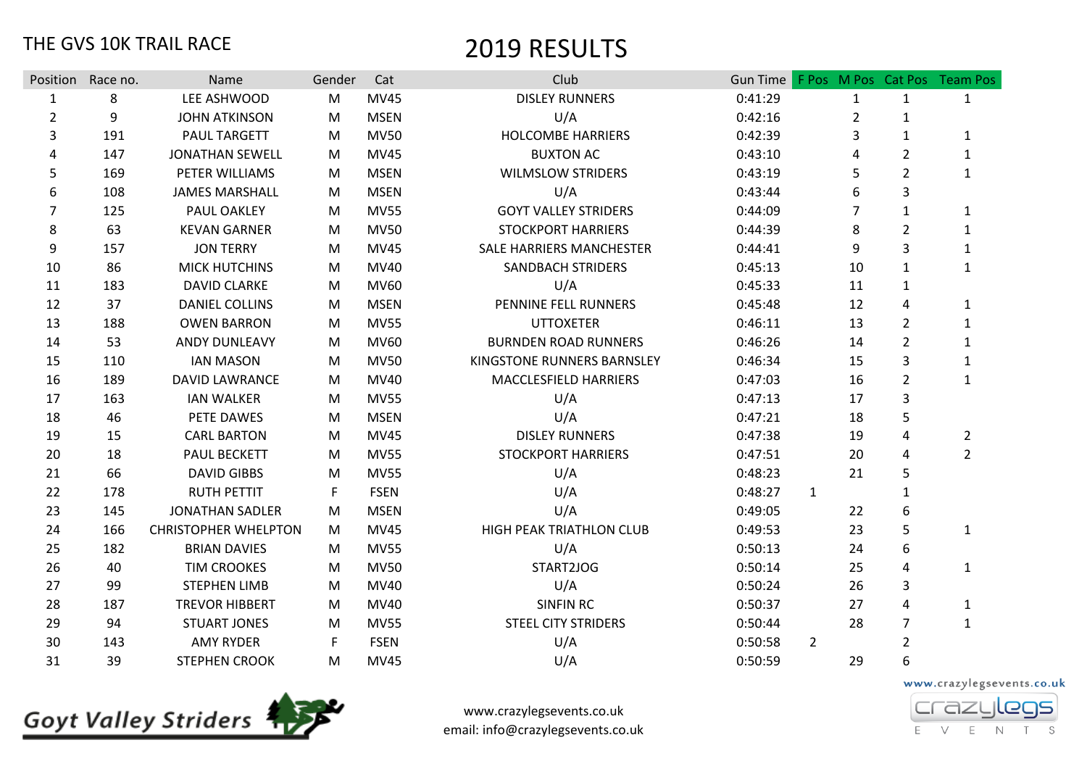|                | Position Race no. | Name                        | Gender | Cat         | Club                            | Gun Time |                |                |                | F Pos M Pos Cat Pos Team Pos |
|----------------|-------------------|-----------------------------|--------|-------------|---------------------------------|----------|----------------|----------------|----------------|------------------------------|
| $\mathbf{1}$   | 8                 | LEE ASHWOOD                 | M      | <b>MV45</b> | <b>DISLEY RUNNERS</b>           | 0:41:29  |                | $\mathbf{1}$   | 1              | $\mathbf{1}$                 |
| $\overline{2}$ | 9                 | <b>JOHN ATKINSON</b>        | M      | <b>MSEN</b> | U/A                             | 0:42:16  |                | $\overline{2}$ | 1              |                              |
| 3              | 191               | <b>PAUL TARGETT</b>         | M      | <b>MV50</b> | <b>HOLCOMBE HARRIERS</b>        | 0:42:39  |                | 3              | 1              | 1                            |
| 4              | 147               | <b>JONATHAN SEWELL</b>      | M      | <b>MV45</b> | <b>BUXTON AC</b>                | 0:43:10  |                | 4              | $\overline{2}$ | 1                            |
| 5              | 169               | PETER WILLIAMS              | M      | <b>MSEN</b> | <b>WILMSLOW STRIDERS</b>        | 0:43:19  |                | 5              | $\overline{2}$ | $\mathbf{1}$                 |
| 6              | 108               | <b>JAMES MARSHALL</b>       | M      | <b>MSEN</b> | U/A                             | 0:43:44  |                | 6              | 3              |                              |
| 7              | 125               | PAUL OAKLEY                 | M      | <b>MV55</b> | <b>GOYT VALLEY STRIDERS</b>     | 0:44:09  |                | $\overline{7}$ | $\mathbf{1}$   | 1                            |
| 8              | 63                | <b>KEVAN GARNER</b>         | M      | <b>MV50</b> | <b>STOCKPORT HARRIERS</b>       | 0:44:39  |                | 8              | $\overline{2}$ | $\mathbf{1}$                 |
| 9              | 157               | <b>JON TERRY</b>            | M      | <b>MV45</b> | <b>SALE HARRIERS MANCHESTER</b> | 0:44:41  |                | 9              | 3              | $\mathbf{1}$                 |
| 10             | 86                | <b>MICK HUTCHINS</b>        | M      | <b>MV40</b> | <b>SANDBACH STRIDERS</b>        | 0:45:13  |                | 10             | 1              | $\mathbf{1}$                 |
| 11             | 183               | <b>DAVID CLARKE</b>         | M      | MV60        | U/A                             | 0:45:33  |                | 11             | 1              |                              |
| 12             | 37                | <b>DANIEL COLLINS</b>       | M      | <b>MSEN</b> | PENNINE FELL RUNNERS            | 0:45:48  |                | 12             | 4              | $\mathbf{1}$                 |
| 13             | 188               | <b>OWEN BARRON</b>          | M      | <b>MV55</b> | <b>UTTOXETER</b>                | 0:46:11  |                | 13             | $\overline{2}$ | $\mathbf{1}$                 |
| 14             | 53                | <b>ANDY DUNLEAVY</b>        | M      | MV60        | <b>BURNDEN ROAD RUNNERS</b>     | 0:46:26  |                | 14             | $\overline{2}$ | 1                            |
| 15             | 110               | <b>IAN MASON</b>            | M      | <b>MV50</b> | KINGSTONE RUNNERS BARNSLEY      | 0:46:34  |                | 15             | 3              | $\mathbf{1}$                 |
| 16             | 189               | <b>DAVID LAWRANCE</b>       | M      | <b>MV40</b> | MACCLESFIELD HARRIERS           | 0:47:03  |                | 16             | $\overline{2}$ | $\mathbf{1}$                 |
| 17             | 163               | <b>IAN WALKER</b>           | M      | <b>MV55</b> | U/A                             | 0:47:13  |                | 17             | 3              |                              |
| 18             | 46                | PETE DAWES                  | M      | <b>MSEN</b> | U/A                             | 0:47:21  |                | 18             | 5              |                              |
| 19             | 15                | <b>CARL BARTON</b>          | M      | <b>MV45</b> | <b>DISLEY RUNNERS</b>           | 0:47:38  |                | 19             | 4              | $\overline{2}$               |
| 20             | 18                | PAUL BECKETT                | M      | <b>MV55</b> | <b>STOCKPORT HARRIERS</b>       | 0:47:51  |                | 20             | 4              | $\overline{2}$               |
| 21             | 66                | <b>DAVID GIBBS</b>          | M      | <b>MV55</b> | U/A                             | 0:48:23  |                | 21             | 5              |                              |
| 22             | 178               | <b>RUTH PETTIT</b>          | F      | <b>FSEN</b> | U/A                             | 0:48:27  | $\mathbf{1}$   |                | 1              |                              |
| 23             | 145               | <b>JONATHAN SADLER</b>      | M      | <b>MSEN</b> | U/A                             | 0:49:05  |                | 22             | 6              |                              |
| 24             | 166               | <b>CHRISTOPHER WHELPTON</b> | M      | <b>MV45</b> | HIGH PEAK TRIATHLON CLUB        | 0:49:53  |                | 23             | 5              | $\mathbf{1}$                 |
| 25             | 182               | <b>BRIAN DAVIES</b>         | M      | <b>MV55</b> | U/A                             | 0:50:13  |                | 24             | 6              |                              |
| 26             | 40                | <b>TIM CROOKES</b>          | M      | <b>MV50</b> | START2JOG                       | 0:50:14  |                | 25             | 4              | $\mathbf{1}$                 |
| 27             | 99                | <b>STEPHEN LIMB</b>         | M      | MV40        | U/A                             | 0:50:24  |                | 26             | 3              |                              |
| 28             | 187               | <b>TREVOR HIBBERT</b>       | M      | <b>MV40</b> | <b>SINFIN RC</b>                | 0:50:37  |                | 27             | 4              | $\mathbf{1}$                 |
| 29             | 94                | <b>STUART JONES</b>         | M      | <b>MV55</b> | <b>STEEL CITY STRIDERS</b>      | 0:50:44  |                | 28             | 7              | $\mathbf{1}$                 |
| 30             | 143               | <b>AMY RYDER</b>            | F      | <b>FSEN</b> | U/A                             | 0:50:58  | $\overline{2}$ |                | $\overline{2}$ |                              |
| 31             | 39                | <b>STEPHEN CROOK</b>        | M      | <b>MV45</b> | U/A                             | 0:50:59  |                | 29             | 6              |                              |



www.crazylegsevents.co.uk email: info@crazylegsevents.co.uk

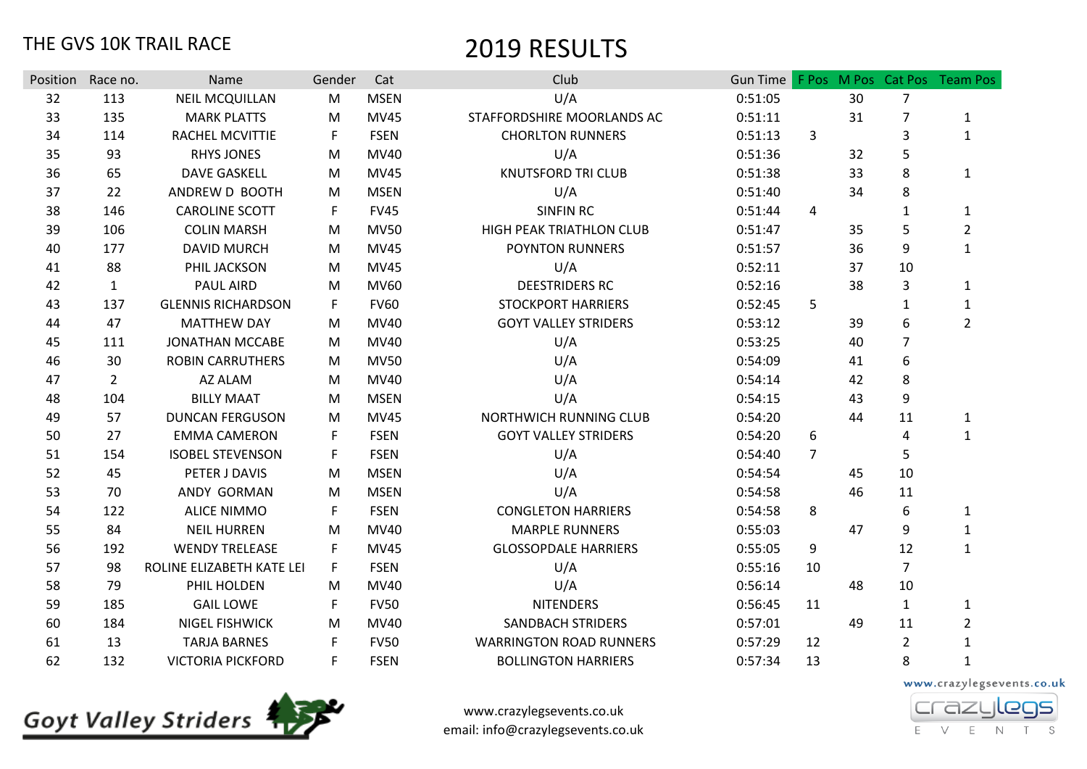| Position | Race no.       | Name                      | Gender | Cat         | Club                           |         |                |    |                | Gun Time F Pos M Pos Cat Pos Team Pos |
|----------|----------------|---------------------------|--------|-------------|--------------------------------|---------|----------------|----|----------------|---------------------------------------|
| 32       | 113            | <b>NEIL MCQUILLAN</b>     | M      | <b>MSEN</b> | U/A                            | 0:51:05 |                | 30 | $\overline{7}$ |                                       |
| 33       | 135            | <b>MARK PLATTS</b>        | M      | MV45        | STAFFORDSHIRE MOORLANDS AC     | 0:51:11 |                | 31 | $\overline{7}$ | $\mathbf{1}$                          |
| 34       | 114            | RACHEL MCVITTIE           | F      | <b>FSEN</b> | <b>CHORLTON RUNNERS</b>        | 0:51:13 | 3              |    | 3              | $\mathbf{1}$                          |
| 35       | 93             | <b>RHYS JONES</b>         | M      | MV40        | U/A                            | 0:51:36 |                | 32 | 5              |                                       |
| 36       | 65             | <b>DAVE GASKELL</b>       | M      | MV45        | <b>KNUTSFORD TRI CLUB</b>      | 0:51:38 |                | 33 | 8              | 1                                     |
| 37       | 22             | ANDREW D BOOTH            | M      | <b>MSEN</b> | U/A                            | 0:51:40 |                | 34 | 8              |                                       |
| 38       | 146            | <b>CAROLINE SCOTT</b>     | F      | <b>FV45</b> | <b>SINFIN RC</b>               | 0:51:44 | 4              |    | 1              | 1                                     |
| 39       | 106            | <b>COLIN MARSH</b>        | M      | <b>MV50</b> | HIGH PEAK TRIATHLON CLUB       | 0:51:47 |                | 35 | 5              | $\overline{2}$                        |
| 40       | 177            | <b>DAVID MURCH</b>        | M      | <b>MV45</b> | POYNTON RUNNERS                | 0:51:57 |                | 36 | 9              | $\mathbf{1}$                          |
| 41       | 88             | PHIL JACKSON              | M      | <b>MV45</b> | U/A                            | 0:52:11 |                | 37 | 10             |                                       |
| 42       | $\mathbf{1}$   | <b>PAUL AIRD</b>          | M      | MV60        | <b>DEESTRIDERS RC</b>          | 0:52:16 |                | 38 | 3              | $\mathbf{1}$                          |
| 43       | 137            | <b>GLENNIS RICHARDSON</b> | F      | <b>FV60</b> | <b>STOCKPORT HARRIERS</b>      | 0:52:45 | 5              |    | $\mathbf{1}$   | $\mathbf{1}$                          |
| 44       | 47             | <b>MATTHEW DAY</b>        | M      | MV40        | <b>GOYT VALLEY STRIDERS</b>    | 0:53:12 |                | 39 | 6              | $\overline{2}$                        |
| 45       | 111            | <b>JONATHAN MCCABE</b>    | M      | MV40        | U/A                            | 0:53:25 |                | 40 | $\overline{7}$ |                                       |
| 46       | 30             | <b>ROBIN CARRUTHERS</b>   | M      | <b>MV50</b> | U/A                            | 0:54:09 |                | 41 | 6              |                                       |
| 47       | $\overline{2}$ | AZ ALAM                   | M      | MV40        | U/A                            | 0:54:14 |                | 42 | 8              |                                       |
| 48       | 104            | <b>BILLY MAAT</b>         | M      | <b>MSEN</b> | U/A                            | 0:54:15 |                | 43 | 9              |                                       |
| 49       | 57             | <b>DUNCAN FERGUSON</b>    | M      | MV45        | NORTHWICH RUNNING CLUB         | 0:54:20 |                | 44 | 11             | 1                                     |
| 50       | 27             | <b>EMMA CAMERON</b>       | F      | <b>FSEN</b> | <b>GOYT VALLEY STRIDERS</b>    | 0:54:20 | 6              |    | 4              | 1                                     |
| 51       | 154            | <b>ISOBEL STEVENSON</b>   | F      | <b>FSEN</b> | U/A                            | 0:54:40 | $\overline{7}$ |    | 5              |                                       |
| 52       | 45             | PETER J DAVIS             | M      | <b>MSEN</b> | U/A                            | 0:54:54 |                | 45 | 10             |                                       |
| 53       | 70             | ANDY GORMAN               | M      | <b>MSEN</b> | U/A                            | 0:54:58 |                | 46 | 11             |                                       |
| 54       | 122            | <b>ALICE NIMMO</b>        | F      | <b>FSEN</b> | <b>CONGLETON HARRIERS</b>      | 0:54:58 | 8              |    | 6              | 1                                     |
| 55       | 84             | <b>NEIL HURREN</b>        | M      | MV40        | <b>MARPLE RUNNERS</b>          | 0:55:03 |                | 47 | 9              | $\mathbf{1}$                          |
| 56       | 192            | <b>WENDY TRELEASE</b>     | F      | <b>MV45</b> | <b>GLOSSOPDALE HARRIERS</b>    | 0:55:05 | 9              |    | 12             | $\mathbf{1}$                          |
| 57       | 98             | ROLINE ELIZABETH KATE LEI | F.     | <b>FSEN</b> | U/A                            | 0:55:16 | 10             |    | $\overline{7}$ |                                       |
| 58       | 79             | PHIL HOLDEN               | M      | MV40        | U/A                            | 0:56:14 |                | 48 | 10             |                                       |
| 59       | 185            | <b>GAIL LOWE</b>          | F      | <b>FV50</b> | <b>NITENDERS</b>               | 0:56:45 | 11             |    | $\mathbf{1}$   | 1                                     |
| 60       | 184            | <b>NIGEL FISHWICK</b>     | M      | MV40        | <b>SANDBACH STRIDERS</b>       | 0:57:01 |                | 49 | 11             | $\overline{2}$                        |
| 61       | 13             | <b>TARJA BARNES</b>       | F      | <b>FV50</b> | <b>WARRINGTON ROAD RUNNERS</b> | 0:57:29 | 12             |    | $\overline{2}$ | $\mathbf{1}$                          |
| 62       | 132            | <b>VICTORIA PICKFORD</b>  | F      | <b>FSEN</b> | <b>BOLLINGTON HARRIERS</b>     | 0:57:34 | 13             |    | 8              | $\mathbf 1$                           |



www.crazylegsevents.co.uk email: info@crazylegsevents.co.uk

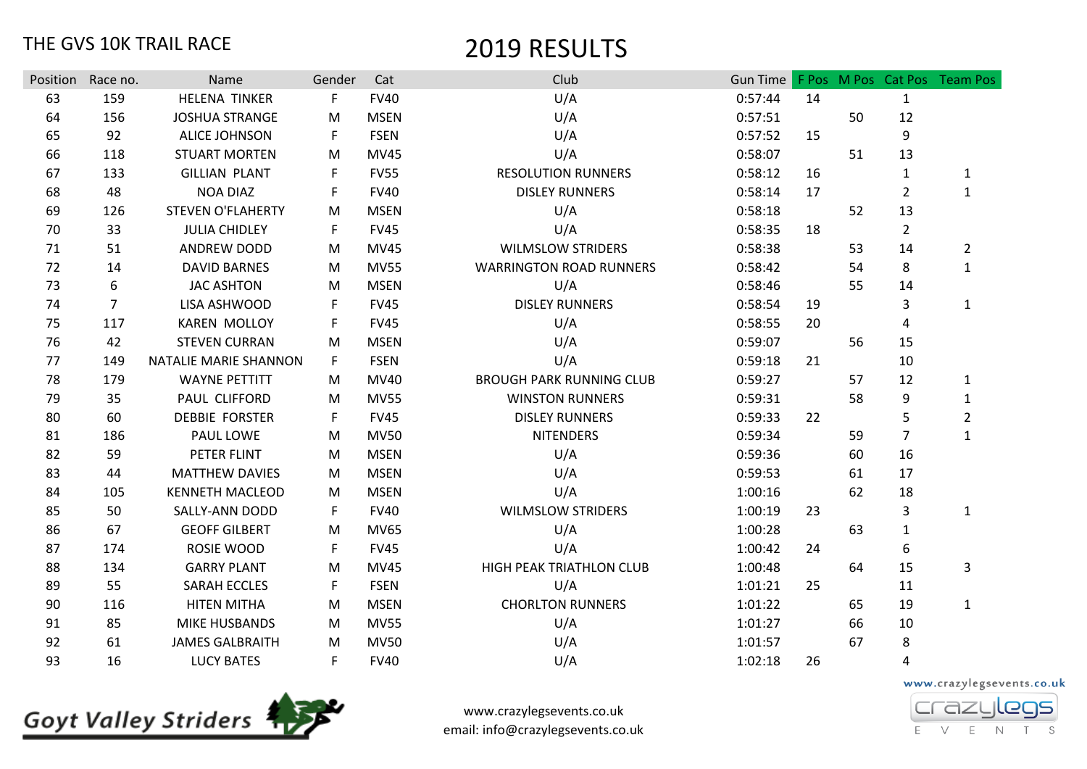| Position | Race no.       | Name                     | Gender | Cat         | Club                            | Gun Time |    |    |                | F Pos M Pos Cat Pos Team Pos |
|----------|----------------|--------------------------|--------|-------------|---------------------------------|----------|----|----|----------------|------------------------------|
| 63       | 159            | <b>HELENA TINKER</b>     | F      | <b>FV40</b> | U/A                             | 0:57:44  | 14 |    | $\mathbf{1}$   |                              |
| 64       | 156            | <b>JOSHUA STRANGE</b>    | M      | <b>MSEN</b> | U/A                             | 0:57:51  |    | 50 | 12             |                              |
| 65       | 92             | <b>ALICE JOHNSON</b>     | F      | <b>FSEN</b> | U/A                             | 0:57:52  | 15 |    | 9              |                              |
| 66       | 118            | <b>STUART MORTEN</b>     | M      | <b>MV45</b> | U/A                             | 0:58:07  |    | 51 | 13             |                              |
| 67       | 133            | <b>GILLIAN PLANT</b>     | F      | <b>FV55</b> | <b>RESOLUTION RUNNERS</b>       | 0:58:12  | 16 |    | $\mathbf{1}$   | $\mathbf{1}$                 |
| 68       | 48             | <b>NOA DIAZ</b>          | F      | <b>FV40</b> | <b>DISLEY RUNNERS</b>           | 0:58:14  | 17 |    | $\overline{2}$ | $\mathbf{1}$                 |
| 69       | 126            | <b>STEVEN O'FLAHERTY</b> | M      | <b>MSEN</b> | U/A                             | 0:58:18  |    | 52 | 13             |                              |
| 70       | 33             | <b>JULIA CHIDLEY</b>     | F      | <b>FV45</b> | U/A                             | 0:58:35  | 18 |    | $\overline{2}$ |                              |
| 71       | 51             | <b>ANDREW DODD</b>       | M      | <b>MV45</b> | <b>WILMSLOW STRIDERS</b>        | 0:58:38  |    | 53 | 14             | $\overline{2}$               |
| 72       | 14             | <b>DAVID BARNES</b>      | M      | <b>MV55</b> | <b>WARRINGTON ROAD RUNNERS</b>  | 0:58:42  |    | 54 | 8              | $\mathbf{1}$                 |
| 73       | 6              | <b>JAC ASHTON</b>        | M      | <b>MSEN</b> | U/A                             | 0:58:46  |    | 55 | 14             |                              |
| 74       | $\overline{7}$ | LISA ASHWOOD             | F      | <b>FV45</b> | <b>DISLEY RUNNERS</b>           | 0:58:54  | 19 |    | 3              | $\mathbf{1}$                 |
| 75       | 117            | <b>KAREN MOLLOY</b>      | F      | <b>FV45</b> | U/A                             | 0:58:55  | 20 |    | 4              |                              |
| 76       | 42             | <b>STEVEN CURRAN</b>     | M      | <b>MSEN</b> | U/A                             | 0:59:07  |    | 56 | 15             |                              |
| 77       | 149            | NATALIE MARIE SHANNON    | F      | <b>FSEN</b> | U/A                             | 0:59:18  | 21 |    | 10             |                              |
| 78       | 179            | <b>WAYNE PETTITT</b>     | M      | <b>MV40</b> | <b>BROUGH PARK RUNNING CLUB</b> | 0:59:27  |    | 57 | 12             | $\mathbf{1}$                 |
| 79       | 35             | PAUL CLIFFORD            | M      | <b>MV55</b> | <b>WINSTON RUNNERS</b>          | 0:59:31  |    | 58 | 9              | $\mathbf{1}$                 |
| 80       | 60             | <b>DEBBIE FORSTER</b>    | F      | <b>FV45</b> | <b>DISLEY RUNNERS</b>           | 0:59:33  | 22 |    | 5              | $\overline{2}$               |
| 81       | 186            | PAUL LOWE                | M      | <b>MV50</b> | <b>NITENDERS</b>                | 0:59:34  |    | 59 | $\overline{7}$ | $\mathbf{1}$                 |
| 82       | 59             | PETER FLINT              | M      | <b>MSEN</b> | U/A                             | 0:59:36  |    | 60 | 16             |                              |
| 83       | 44             | <b>MATTHEW DAVIES</b>    | M      | <b>MSEN</b> | U/A                             | 0:59:53  |    | 61 | 17             |                              |
| 84       | 105            | <b>KENNETH MACLEOD</b>   | M      | <b>MSEN</b> | U/A                             | 1:00:16  |    | 62 | 18             |                              |
| 85       | 50             | SALLY-ANN DODD           | F      | <b>FV40</b> | <b>WILMSLOW STRIDERS</b>        | 1:00:19  | 23 |    | 3              | $\mathbf{1}$                 |
| 86       | 67             | <b>GEOFF GILBERT</b>     | M      | <b>MV65</b> | U/A                             | 1:00:28  |    | 63 | $\mathbf{1}$   |                              |
| 87       | 174            | ROSIE WOOD               | F      | <b>FV45</b> | U/A                             | 1:00:42  | 24 |    | 6              |                              |
| 88       | 134            | <b>GARRY PLANT</b>       | M      | <b>MV45</b> | HIGH PEAK TRIATHLON CLUB        | 1:00:48  |    | 64 | 15             | 3                            |
| 89       | 55             | <b>SARAH ECCLES</b>      | F      | <b>FSEN</b> | U/A                             | 1:01:21  | 25 |    | 11             |                              |
| 90       | 116            | <b>HITEN MITHA</b>       | M      | <b>MSEN</b> | <b>CHORLTON RUNNERS</b>         | 1:01:22  |    | 65 | 19             | $\mathbf{1}$                 |
| 91       | 85             | MIKE HUSBANDS            | M      | <b>MV55</b> | U/A                             | 1:01:27  |    | 66 | 10             |                              |
| 92       | 61             | <b>JAMES GALBRAITH</b>   | M      | <b>MV50</b> | U/A                             | 1:01:57  |    | 67 | 8              |                              |
| 93       | 16             | <b>LUCY BATES</b>        | F      | <b>FV40</b> | U/A                             | 1:02:18  | 26 |    | 4              |                              |
|          |                |                          |        |             |                                 |          |    |    |                |                              |



www.crazylegsevents.co.uk email: info@crazylegsevents.co.uk

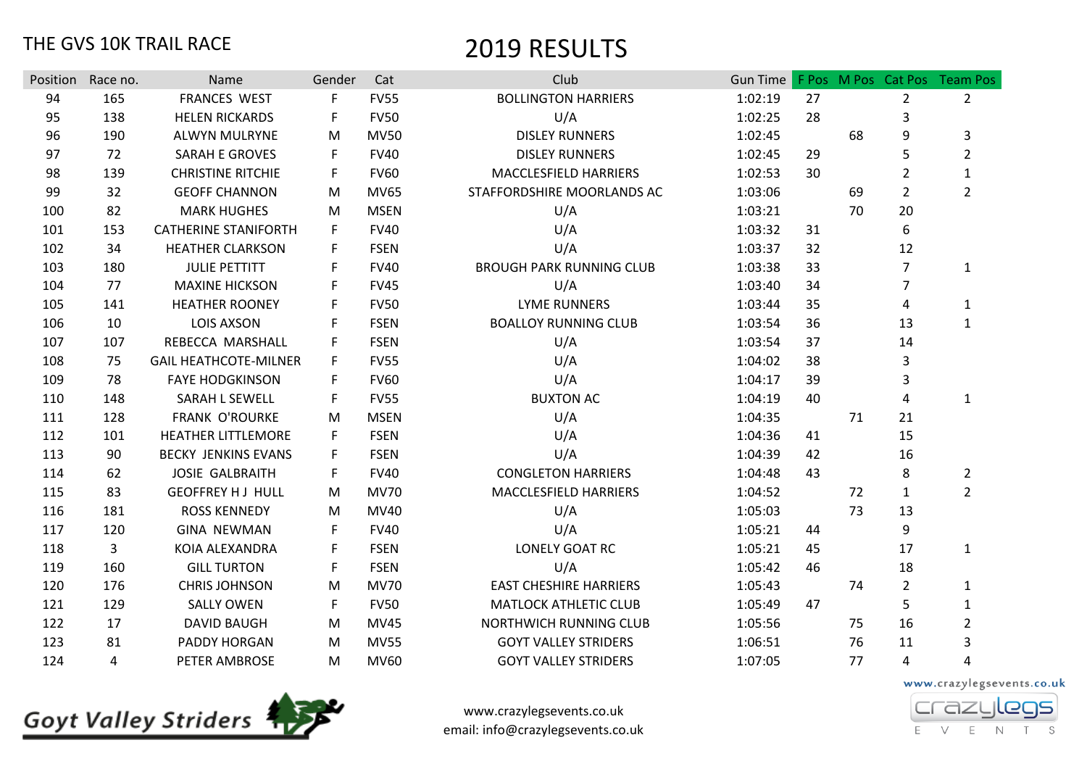|     | Position Race no. | Name                         | Gender | Cat         | Club                            | Gun Time |    |    |                | F Pos M Pos Cat Pos Team Pos |
|-----|-------------------|------------------------------|--------|-------------|---------------------------------|----------|----|----|----------------|------------------------------|
| 94  | 165               | <b>FRANCES WEST</b>          | F      | <b>FV55</b> | <b>BOLLINGTON HARRIERS</b>      | 1:02:19  | 27 |    | $\overline{2}$ | $\overline{2}$               |
| 95  | 138               | <b>HELEN RICKARDS</b>        | F      | <b>FV50</b> | U/A                             | 1:02:25  | 28 |    | 3              |                              |
| 96  | 190               | ALWYN MULRYNE                | M      | <b>MV50</b> | <b>DISLEY RUNNERS</b>           | 1:02:45  |    | 68 | 9              | 3                            |
| 97  | 72                | <b>SARAH E GROVES</b>        | F      | <b>FV40</b> | <b>DISLEY RUNNERS</b>           | 1:02:45  | 29 |    | 5              | $\overline{2}$               |
| 98  | 139               | <b>CHRISTINE RITCHIE</b>     | F      | <b>FV60</b> | MACCLESFIELD HARRIERS           | 1:02:53  | 30 |    | $\overline{2}$ | $\mathbf{1}$                 |
| 99  | 32                | <b>GEOFF CHANNON</b>         | M      | <b>MV65</b> | STAFFORDSHIRE MOORLANDS AC      | 1:03:06  |    | 69 | $\overline{2}$ | $\overline{2}$               |
| 100 | 82                | <b>MARK HUGHES</b>           | M      | <b>MSEN</b> | U/A                             | 1:03:21  |    | 70 | 20             |                              |
| 101 | 153               | <b>CATHERINE STANIFORTH</b>  | F      | <b>FV40</b> | U/A                             | 1:03:32  | 31 |    | 6              |                              |
| 102 | 34                | <b>HEATHER CLARKSON</b>      | F      | <b>FSEN</b> | U/A                             | 1:03:37  | 32 |    | 12             |                              |
| 103 | 180               | <b>JULIE PETTITT</b>         | F      | <b>FV40</b> | <b>BROUGH PARK RUNNING CLUB</b> | 1:03:38  | 33 |    | $\overline{7}$ | $\mathbf{1}$                 |
| 104 | 77                | <b>MAXINE HICKSON</b>        | F      | <b>FV45</b> | U/A                             | 1:03:40  | 34 |    | $\overline{7}$ |                              |
| 105 | 141               | <b>HEATHER ROONEY</b>        | F      | <b>FV50</b> | <b>LYME RUNNERS</b>             | 1:03:44  | 35 |    | 4              | 1                            |
| 106 | 10                | <b>LOIS AXSON</b>            | F      | <b>FSEN</b> | <b>BOALLOY RUNNING CLUB</b>     | 1:03:54  | 36 |    | 13             | $\mathbf{1}$                 |
| 107 | 107               | REBECCA MARSHALL             | F      | <b>FSEN</b> | U/A                             | 1:03:54  | 37 |    | 14             |                              |
| 108 | 75                | <b>GAIL HEATHCOTE-MILNER</b> | F      | <b>FV55</b> | U/A                             | 1:04:02  | 38 |    | 3              |                              |
| 109 | 78                | <b>FAYE HODGKINSON</b>       | F      | <b>FV60</b> | U/A                             | 1:04:17  | 39 |    | 3              |                              |
| 110 | 148               | SARAH L SEWELL               | F      | <b>FV55</b> | <b>BUXTON AC</b>                | 1:04:19  | 40 |    | 4              | 1                            |
| 111 | 128               | <b>FRANK O'ROURKE</b>        | M      | <b>MSEN</b> | U/A                             | 1:04:35  |    | 71 | 21             |                              |
| 112 | 101               | <b>HEATHER LITTLEMORE</b>    | F      | <b>FSEN</b> | U/A                             | 1:04:36  | 41 |    | 15             |                              |
| 113 | 90                | <b>BECKY JENKINS EVANS</b>   | F      | <b>FSEN</b> | U/A                             | 1:04:39  | 42 |    | 16             |                              |
| 114 | 62                | <b>JOSIE GALBRAITH</b>       | F      | <b>FV40</b> | <b>CONGLETON HARRIERS</b>       | 1:04:48  | 43 |    | 8              | $\overline{2}$               |
| 115 | 83                | <b>GEOFFREY HJ HULL</b>      | M      | <b>MV70</b> | MACCLESFIELD HARRIERS           | 1:04:52  |    | 72 | $\mathbf{1}$   | $\overline{2}$               |
| 116 | 181               | <b>ROSS KENNEDY</b>          | M      | MV40        | U/A                             | 1:05:03  |    | 73 | 13             |                              |
| 117 | 120               | <b>GINA NEWMAN</b>           | F      | <b>FV40</b> | U/A                             | 1:05:21  | 44 |    | 9              |                              |
| 118 | 3                 | KOIA ALEXANDRA               | F      | <b>FSEN</b> | LONELY GOAT RC                  | 1:05:21  | 45 |    | 17             | $\mathbf{1}$                 |
| 119 | 160               | <b>GILL TURTON</b>           | F      | <b>FSEN</b> | U/A                             | 1:05:42  | 46 |    | 18             |                              |
| 120 | 176               | <b>CHRIS JOHNSON</b>         | M      | <b>MV70</b> | <b>EAST CHESHIRE HARRIERS</b>   | 1:05:43  |    | 74 | $\overline{2}$ | 1                            |
| 121 | 129               | <b>SALLY OWEN</b>            | F      | <b>FV50</b> | <b>MATLOCK ATHLETIC CLUB</b>    | 1:05:49  | 47 |    | 5              | 1                            |
| 122 | 17                | <b>DAVID BAUGH</b>           | M      | <b>MV45</b> | NORTHWICH RUNNING CLUB          | 1:05:56  |    | 75 | 16             | $\overline{2}$               |
| 123 | 81                | PADDY HORGAN                 | M      | <b>MV55</b> | <b>GOYT VALLEY STRIDERS</b>     | 1:06:51  |    | 76 | 11             | 3                            |
| 124 | 4                 | PETER AMBROSE                | M      | <b>MV60</b> | <b>GOYT VALLEY STRIDERS</b>     | 1:07:05  |    | 77 | 4              | 4                            |

**Goyt Valley Striders** 

www.crazylegsevents.co.uk email: info@crazylegsevents.co.uk